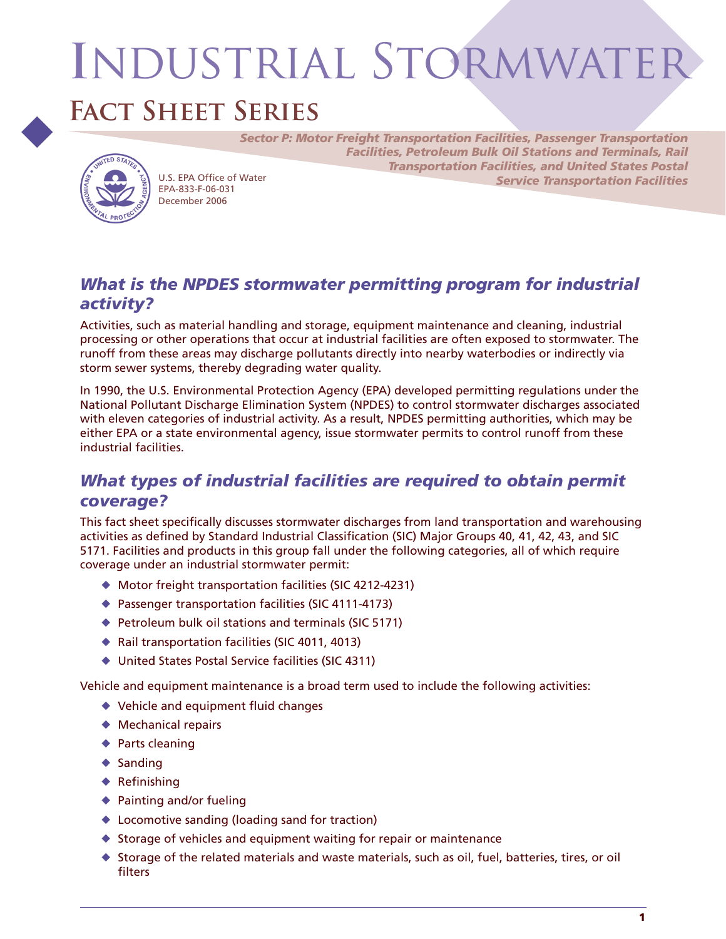# **I**ndustrial Stormwater

## **Fact Sheet Series**



EPA-833-F-06-031 December 2006

*Sector P: Motor Freight Transportation Facilities, Passenger Transportation Facilities, Petroleum Bulk Oil Stations and Terminals, Rail Transportation Facilities, and United States Postal Service Transportation Facilities* U.S. EPA Office of Water

## *What is the NPDES stormwater permitting program for industrial activity?*

Activities, such as material handling and storage, equipment maintenance and cleaning, industrial processing or other operations that occur at industrial facilities are often exposed to stormwater. The runoff from these areas may discharge pollutants directly into nearby waterbodies or indirectly via storm sewer systems, thereby degrading water quality.

In 1990, the U.S. Environmental Protection Agency (EPA) developed permitting regulations under the National Pollutant Discharge Elimination System (NPDES) to control stormwater discharges associated with eleven categories of industrial activity. As a result, NPDES permitting authorities, which may be either EPA or a state environmental agency, issue stormwater permits to control runoff from these industrial facilities.

## *What types of industrial facilities are required to obtain permit coverage?*

This fact sheet specifically discusses stormwater discharges from land transportation and warehousing activities as defined by Standard Industrial Classification (SIC) Major Groups 40, 41, 42, 43, and SIC 5171. Facilities and products in this group fall under the following categories, all of which require coverage under an industrial stormwater permit:

- Motor freight transportation facilities (SIC 4212-4231)
- ◆ Passenger transportation facilities (SIC 4111-4173)
- ◆ Petroleum bulk oil stations and terminals (SIC 5171)
- ◆ Rail transportation facilities (SIC 4011, 4013)
- United States Postal Service facilities (SIC 4311)

Vehicle and equipment maintenance is a broad term used to include the following activities:

- ◆ Vehicle and equipment fluid changes
- ◆ Mechanical repairs
- ◆ Parts cleaning
- $\triangle$  Sanding
- $\triangle$  Refinishing
- ◆ Painting and/or fueling
- Locomotive sanding (loading sand for traction)
- ◆ Storage of vehicles and equipment waiting for repair or maintenance
- $\blacklozenge$  Storage of the related materials and waste materials, such as oil, fuel, batteries, tires, or oil filters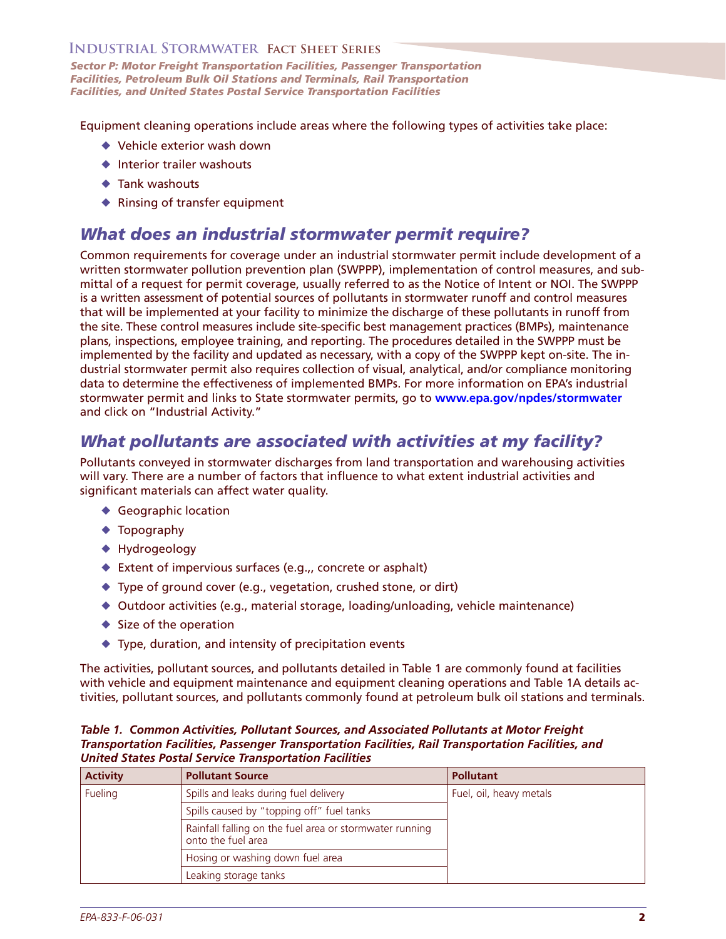*Sector P: Motor Freight Transportation Facilities, Passenger Transportation Facilities, Petroleum Bulk Oil Stations and Terminals, Rail Transportation Facilities, and United States Postal Service Transportation Facilities* 

Equipment cleaning operations include areas where the following types of activities take place:

- ◆ Vehicle exterior wash down
- $\triangleq$  Interior trailer washouts
- **← Tank washouts**
- ◆ Rinsing of transfer equipment

### *What does an industrial stormwater permit require?*

 is a written assessment of potential sources of pollutants in stormwater runoff and control measures that will be implemented at your facility to minimize the discharge of these pollutants in runoff from the site. These control measures include site-specific best management practices (BMPs), maintenance plans, inspections, employee training, and reporting. The procedures detailed in the SWPPP must be implemented by the facility and updated as necessary, with a copy of the SWPPP kept on-site. The in- dustrial stormwater permit also requires collection of visual, analytical, and/or compliance monitoring data to determine the effectiveness of implemented BMPs. For more information on EPA's industrial Common requirements for coverage under an industrial stormwater permit include development of a written stormwater pollution prevention plan (SWPPP), implementation of control measures, and submittal of a request for permit coverage, usually referred to as the Notice of Intent or NOI. The SWPPP stormwater permit and links to State stormwater permits, go to **[www.epa.gov/npdes/stormwater](http://www.epa.gov/npdes/stormwater)**  and click on "Industrial Activity."

## *What pollutants are associated with activities at my facility?*

Pollutants conveyed in stormwater discharges from land transportation and warehousing activities will vary. There are a number of factors that influence to what extent industrial activities and significant materials can affect water quality.

- ◆ Geographic location
- ◆ Topography
- ◆ Hydrogeology
- ◆ Extent of impervious surfaces (e.g.,, concrete or asphalt)
- Type of ground cover (e.g., vegetation, crushed stone, or dirt)
- Outdoor activities (e.g., material storage, loading/unloading, vehicle maintenance)
- $\blacklozenge$  Size of the operation
- Type, duration, and intensity of precipitation events

 The activities, pollutant sources, and pollutants detailed in Table 1 are commonly found at facilities with vehicle and equipment maintenance and equipment cleaning operations and Table 1A details ac-tivities, pollutant sources, and pollutants commonly found at petroleum bulk oil stations and terminals.

*Table 1. Common Activities, Pollutant Sources, and Associated Pollutants at Motor Freight Transportation Facilities, Passenger Transportation Facilities, Rail Transportation Facilities, and United States Postal Service Transportation Facilities* 

| <b>Activity</b> | <b>Pollutant Source</b>                                                       | <b>Pollutant</b>        |
|-----------------|-------------------------------------------------------------------------------|-------------------------|
| Fueling         | Spills and leaks during fuel delivery                                         | Fuel, oil, heavy metals |
|                 | Spills caused by "topping off" fuel tanks                                     |                         |
|                 | Rainfall falling on the fuel area or stormwater running<br>onto the fuel area |                         |
|                 | Hosing or washing down fuel area                                              |                         |
|                 | Leaking storage tanks                                                         |                         |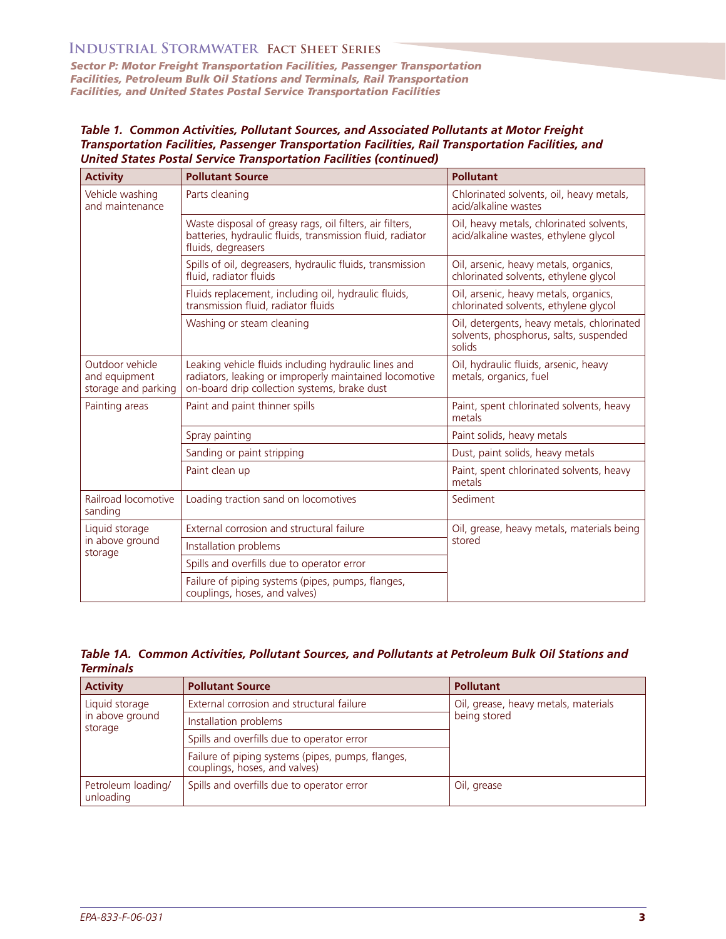*Sector P: Motor Freight Transportation Facilities, Passenger Transportation Facilities, Petroleum Bulk Oil Stations and Terminals, Rail Transportation Facilities, and United States Postal Service Transportation Facilities* 

*Table 1. Common Activities, Pollutant Sources, and Associated Pollutants at Motor Freight Transportation Facilities, Passenger Transportation Facilities, Rail Transportation Facilities, and United States Postal Service Transportation Facilities (continued)* 

| <b>Activity</b>                                         | <b>Pollutant Source</b>                                                                                                                                        | <b>Pollutant</b>                                                                               |
|---------------------------------------------------------|----------------------------------------------------------------------------------------------------------------------------------------------------------------|------------------------------------------------------------------------------------------------|
| Vehicle washing<br>and maintenance                      | Parts cleaning                                                                                                                                                 | Chlorinated solvents, oil, heavy metals,<br>acid/alkaline wastes                               |
|                                                         | Waste disposal of greasy rags, oil filters, air filters,<br>batteries, hydraulic fluids, transmission fluid, radiator<br>fluids, degreasers                    | Oil, heavy metals, chlorinated solvents,<br>acid/alkaline wastes, ethylene glycol              |
|                                                         | Spills of oil, degreasers, hydraulic fluids, transmission<br>fluid, radiator fluids                                                                            | Oil, arsenic, heavy metals, organics,<br>chlorinated solvents, ethylene glycol                 |
|                                                         | Fluids replacement, including oil, hydraulic fluids,<br>transmission fluid, radiator fluids                                                                    | Oil, arsenic, heavy metals, organics,<br>chlorinated solvents, ethylene glycol                 |
|                                                         | Washing or steam cleaning                                                                                                                                      | Oil, detergents, heavy metals, chlorinated<br>solvents, phosphorus, salts, suspended<br>solids |
| Outdoor vehicle<br>and equipment<br>storage and parking | Leaking vehicle fluids including hydraulic lines and<br>radiators, leaking or improperly maintained locomotive<br>on-board drip collection systems, brake dust | Oil, hydraulic fluids, arsenic, heavy<br>metals, organics, fuel                                |
| Painting areas                                          | Paint and paint thinner spills                                                                                                                                 | Paint, spent chlorinated solvents, heavy<br>metals                                             |
|                                                         | Spray painting                                                                                                                                                 | Paint solids, heavy metals                                                                     |
|                                                         | Sanding or paint stripping                                                                                                                                     | Dust, paint solids, heavy metals                                                               |
|                                                         | Paint clean up                                                                                                                                                 | Paint, spent chlorinated solvents, heavy<br>metals                                             |
| Railroad locomotive<br>sanding                          | Loading traction sand on locomotives                                                                                                                           | Sediment                                                                                       |
| Liquid storage<br>in above ground<br>storage            | External corrosion and structural failure                                                                                                                      | Oil, grease, heavy metals, materials being<br>stored                                           |
|                                                         | Installation problems                                                                                                                                          |                                                                                                |
|                                                         | Spills and overfills due to operator error                                                                                                                     |                                                                                                |
|                                                         | Failure of piping systems (pipes, pumps, flanges,<br>couplings, hoses, and valves)                                                                             |                                                                                                |

#### *Table 1A. Common Activities, Pollutant Sources, and Pollutants at Petroleum Bulk Oil Stations and Terminals*

| <b>Activity</b>                              | <b>Pollutant Source</b>                                                            | <b>Pollutant</b>                                     |
|----------------------------------------------|------------------------------------------------------------------------------------|------------------------------------------------------|
| Liquid storage<br>in above ground<br>storage | External corrosion and structural failure                                          | Oil, grease, heavy metals, materials<br>being stored |
|                                              | Installation problems                                                              |                                                      |
|                                              | Spills and overfills due to operator error                                         |                                                      |
|                                              | Failure of piping systems (pipes, pumps, flanges,<br>couplings, hoses, and valves) |                                                      |
| Petroleum loading/<br>unloading              | Spills and overfills due to operator error                                         | Oil, grease                                          |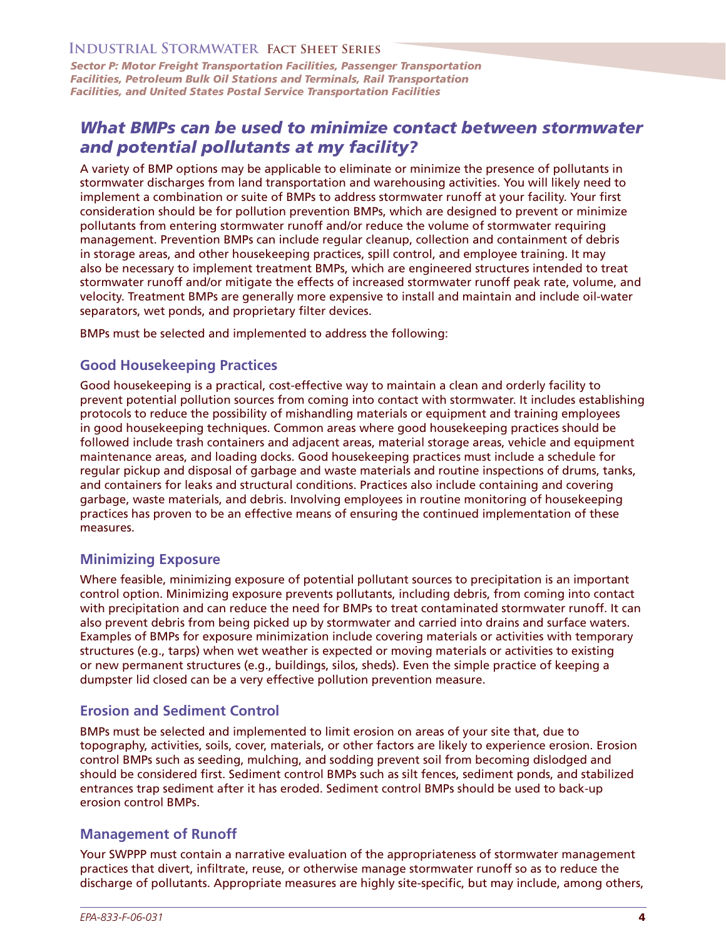*Sector P: Motor Freight Transportation Facilities, Passenger Transportation Facilities, Petroleum Bulk Oil Stations and Terminals, Rail Transportation Facilities, and United States Postal Service Transportation Facilities* 

## *What BMPs can be used to minimize contact between stormwater and potential pollutants at my facility?*

A variety of BMP options may be applicable to eliminate or minimize the presence of pollutants in stormwater discharges from land transportation and warehousing activities. You will likely need to implement a combination or suite of BMPs to address stormwater runoff at your facility. Your first consideration should be for pollution prevention BMPs, which are designed to prevent or minimize pollutants from entering stormwater runoff and/or reduce the volume of stormwater requiring management. Prevention BMPs can include regular cleanup, collection and containment of debris in storage areas, and other housekeeping practices, spill control, and employee training. It may also be necessary to implement treatment BMPs, which are engineered structures intended to treat stormwater runoff and/or mitigate the effects of increased stormwater runoff peak rate, volume, and velocity. Treatment BMPs are generally more expensive to install and maintain and include oil-water separators, wet ponds, and proprietary filter devices.

BMPs must be selected and implemented to address the following:

#### **Good Housekeeping Practices**

Good housekeeping is a practical, cost-effective way to maintain a clean and orderly facility to prevent potential pollution sources from coming into contact with stormwater. It includes establishing protocols to reduce the possibility of mishandling materials or equipment and training employees in good housekeeping techniques. Common areas where good housekeeping practices should be followed include trash containers and adjacent areas, material storage areas, vehicle and equipment maintenance areas, and loading docks. Good housekeeping practices must include a schedule for regular pickup and disposal of garbage and waste materials and routine inspections of drums, tanks, and containers for leaks and structural conditions. Practices also include containing and covering garbage, waste materials, and debris. Involving employees in routine monitoring of housekeeping practices has proven to be an effective means of ensuring the continued implementation of these measures.

#### **Minimizing Exposure**

Where feasible, minimizing exposure of potential pollutant sources to precipitation is an important control option. Minimizing exposure prevents pollutants, including debris, from coming into contact with precipitation and can reduce the need for BMPs to treat contaminated stormwater runoff. It can also prevent debris from being picked up by stormwater and carried into drains and surface waters. Examples of BMPs for exposure minimization include covering materials or activities with temporary structures (e.g., tarps) when wet weather is expected or moving materials or activities to existing or new permanent structures (e.g., buildings, silos, sheds). Even the simple practice of keeping a dumpster lid closed can be a very effective pollution prevention measure.

#### **Erosion and Sediment Control**

BMPs must be selected and implemented to limit erosion on areas of your site that, due to topography, activities, soils, cover, materials, or other factors are likely to experience erosion. Erosion control BMPs such as seeding, mulching, and sodding prevent soil from becoming dislodged and should be considered first. Sediment control BMPs such as silt fences, sediment ponds, and stabilized entrances trap sediment after it has eroded. Sediment control BMPs should be used to back-up erosion control BMPs.

#### **Management of Runoff**

Your SWPPP must contain a narrative evaluation of the appropriateness of stormwater management practices that divert, infiltrate, reuse, or otherwise manage stormwater runoff so as to reduce the discharge of pollutants. Appropriate measures are highly site-specific, but may include, among others,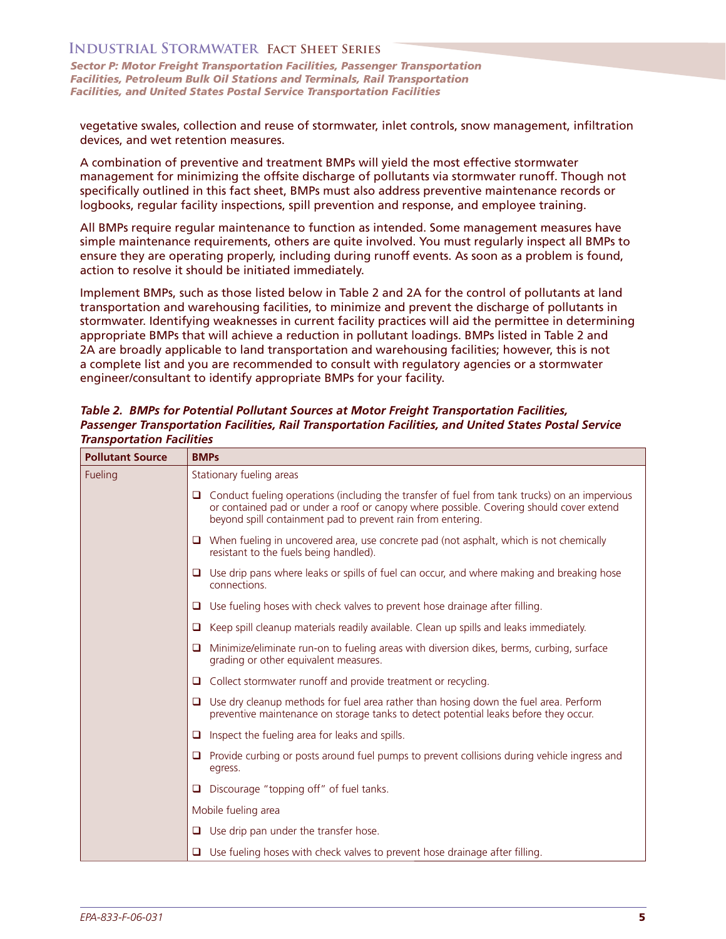*Sector P: Motor Freight Transportation Facilities, Passenger Transportation Facilities, Petroleum Bulk Oil Stations and Terminals, Rail Transportation Facilities, and United States Postal Service Transportation Facilities* 

vegetative swales, collection and reuse of stormwater, inlet controls, snow management, infiltration devices, and wet retention measures.

A combination of preventive and treatment BMPs will yield the most effective stormwater management for minimizing the offsite discharge of pollutants via stormwater runoff. Though not specifically outlined in this fact sheet, BMPs must also address preventive maintenance records or logbooks, regular facility inspections, spill prevention and response, and employee training.

All BMPs require regular maintenance to function as intended. Some management measures have simple maintenance requirements, others are quite involved. You must regularly inspect all BMPs to ensure they are operating properly, including during runoff events. As soon as a problem is found, action to resolve it should be initiated immediately.

Implement BMPs, such as those listed below in Table 2 and 2A for the control of pollutants at land transportation and warehousing facilities, to minimize and prevent the discharge of pollutants in stormwater. Identifying weaknesses in current facility practices will aid the permittee in determining appropriate BMPs that will achieve a reduction in pollutant loadings. BMPs listed in Table 2 and 2A are broadly applicable to land transportation and warehousing facilities; however, this is not a complete list and you are recommended to consult with regulatory agencies or a stormwater engineer/consultant to identify appropriate BMPs for your facility.

| <b>Pollutant Source</b> | <b>BMPs</b>                                                                                                                                                                                                                                                    |  |
|-------------------------|----------------------------------------------------------------------------------------------------------------------------------------------------------------------------------------------------------------------------------------------------------------|--|
| Fueling                 | Stationary fueling areas                                                                                                                                                                                                                                       |  |
|                         | $\Box$ Conduct fueling operations (including the transfer of fuel from tank trucks) on an impervious<br>or contained pad or under a roof or canopy where possible. Covering should cover extend<br>beyond spill containment pad to prevent rain from entering. |  |
|                         | $\Box$ When fueling in uncovered area, use concrete pad (not asphalt, which is not chemically<br>resistant to the fuels being handled).                                                                                                                        |  |
|                         | $\Box$ Use drip pans where leaks or spills of fuel can occur, and where making and breaking hose<br>connections.                                                                                                                                               |  |
|                         | $\Box$ Use fueling hoses with check valves to prevent hose drainage after filling.                                                                                                                                                                             |  |
|                         | $\Box$ Keep spill cleanup materials readily available. Clean up spills and leaks immediately.                                                                                                                                                                  |  |
|                         | $\Box$ Minimize/eliminate run-on to fueling areas with diversion dikes, berms, curbing, surface<br>grading or other equivalent measures.                                                                                                                       |  |
|                         | $\Box$ Collect stormwater runoff and provide treatment or recycling.                                                                                                                                                                                           |  |
|                         | $\Box$ Use dry cleanup methods for fuel area rather than hosing down the fuel area. Perform<br>preventive maintenance on storage tanks to detect potential leaks before they occur.                                                                            |  |
|                         | Inspect the fueling area for leaks and spills.<br>0                                                                                                                                                                                                            |  |
|                         | $\Box$ Provide curbing or posts around fuel pumps to prevent collisions during vehicle ingress and<br>egress.                                                                                                                                                  |  |
|                         | Discourage "topping off" of fuel tanks.<br>0                                                                                                                                                                                                                   |  |
|                         | Mobile fueling area                                                                                                                                                                                                                                            |  |
|                         | $\Box$ Use drip pan under the transfer hose.                                                                                                                                                                                                                   |  |
|                         | Use fueling hoses with check valves to prevent hose drainage after filling.<br>0                                                                                                                                                                               |  |

*Table 2. BMPs for Potential Pollutant Sources at Motor Freight Transportation Facilities, Passenger Transportation Facilities, Rail Transportation Facilities, and United States Postal Service Transportation Facilities*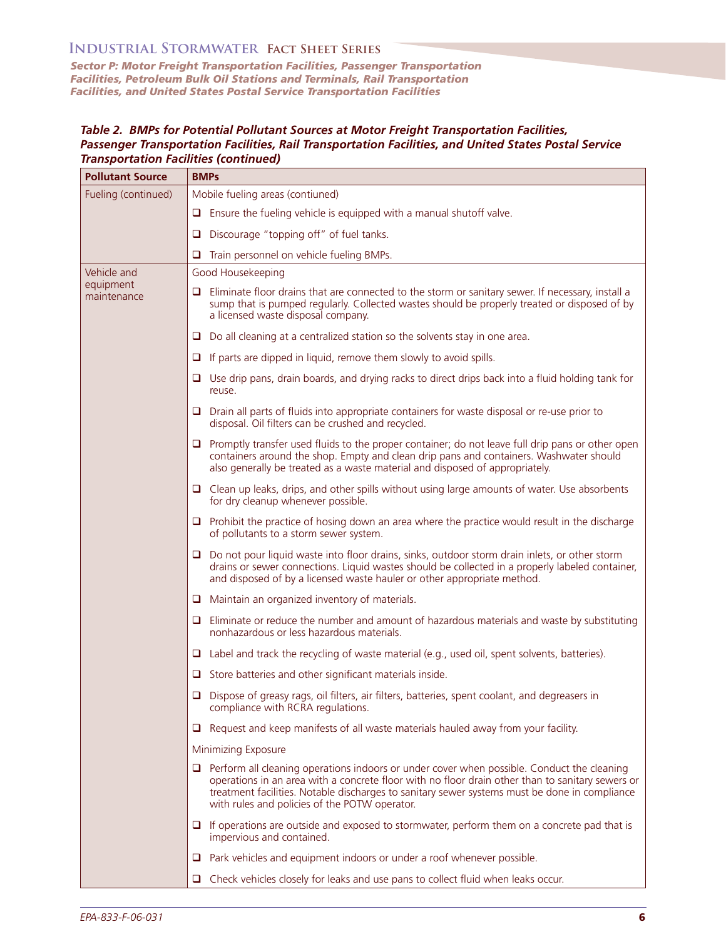*Sector P: Motor Freight Transportation Facilities, Passenger Transportation Facilities, Petroleum Bulk Oil Stations and Terminals, Rail Transportation Facilities, and United States Postal Service Transportation Facilities* 

#### *Table 2. BMPs for Potential Pollutant Sources at Motor Freight Transportation Facilities, Passenger Transportation Facilities, Rail Transportation Facilities, and United States Postal Service Transportation Facilities (continued)*

| <b>Pollutant Source</b>  | <b>BMPs</b>                                                                                                                                                                                                                                                                                                                                             |  |
|--------------------------|---------------------------------------------------------------------------------------------------------------------------------------------------------------------------------------------------------------------------------------------------------------------------------------------------------------------------------------------------------|--|
| Fueling (continued)      | Mobile fueling areas (contiuned)                                                                                                                                                                                                                                                                                                                        |  |
|                          | $\Box$ Ensure the fueling vehicle is equipped with a manual shutoff valve.                                                                                                                                                                                                                                                                              |  |
|                          | Discourage "topping off" of fuel tanks.<br>Q                                                                                                                                                                                                                                                                                                            |  |
|                          | Train personnel on vehicle fueling BMPs.<br>u                                                                                                                                                                                                                                                                                                           |  |
| Vehicle and              | Good Housekeeping                                                                                                                                                                                                                                                                                                                                       |  |
| equipment<br>maintenance | $\Box$ Eliminate floor drains that are connected to the storm or sanitary sewer. If necessary, install a<br>sump that is pumped regularly. Collected wastes should be properly treated or disposed of by<br>a licensed waste disposal company.                                                                                                          |  |
|                          | $\Box$ Do all cleaning at a centralized station so the solvents stay in one area.                                                                                                                                                                                                                                                                       |  |
|                          | $\Box$ If parts are dipped in liquid, remove them slowly to avoid spills.                                                                                                                                                                                                                                                                               |  |
|                          | $\Box$ Use drip pans, drain boards, and drying racks to direct drips back into a fluid holding tank for<br>reuse.                                                                                                                                                                                                                                       |  |
|                          | $\Box$ Drain all parts of fluids into appropriate containers for waste disposal or re-use prior to<br>disposal. Oil filters can be crushed and recycled.                                                                                                                                                                                                |  |
|                          | $\Box$ Promptly transfer used fluids to the proper container; do not leave full drip pans or other open<br>containers around the shop. Empty and clean drip pans and containers. Washwater should<br>also generally be treated as a waste material and disposed of appropriately.                                                                       |  |
|                          | $\Box$ Clean up leaks, drips, and other spills without using large amounts of water. Use absorbents<br>for dry cleanup whenever possible.                                                                                                                                                                                                               |  |
|                          | $\Box$ Prohibit the practice of hosing down an area where the practice would result in the discharge<br>of pollutants to a storm sewer system.                                                                                                                                                                                                          |  |
|                          | $\Box$ Do not pour liquid waste into floor drains, sinks, outdoor storm drain inlets, or other storm<br>drains or sewer connections. Liquid wastes should be collected in a properly labeled container,<br>and disposed of by a licensed waste hauler or other appropriate method.                                                                      |  |
|                          | $\Box$ Maintain an organized inventory of materials.                                                                                                                                                                                                                                                                                                    |  |
|                          | $\Box$ Eliminate or reduce the number and amount of hazardous materials and waste by substituting<br>nonhazardous or less hazardous materials.                                                                                                                                                                                                          |  |
|                          | $\Box$ Label and track the recycling of waste material (e.g., used oil, spent solvents, batteries).                                                                                                                                                                                                                                                     |  |
|                          | $\Box$ Store batteries and other significant materials inside.                                                                                                                                                                                                                                                                                          |  |
|                          | $\Box$ Dispose of greasy rags, oil filters, air filters, batteries, spent coolant, and degreasers in<br>compliance with RCRA regulations.                                                                                                                                                                                                               |  |
|                          | Request and keep manifests of all waste materials hauled away from your facility.<br>u                                                                                                                                                                                                                                                                  |  |
|                          | Minimizing Exposure                                                                                                                                                                                                                                                                                                                                     |  |
|                          | $\Box$ Perform all cleaning operations indoors or under cover when possible. Conduct the cleaning<br>operations in an area with a concrete floor with no floor drain other than to sanitary sewers or<br>treatment facilities. Notable discharges to sanitary sewer systems must be done in compliance<br>with rules and policies of the POTW operator. |  |
|                          | $\Box$ If operations are outside and exposed to stormwater, perform them on a concrete pad that is<br>impervious and contained.                                                                                                                                                                                                                         |  |
|                          | Park vehicles and equipment indoors or under a roof whenever possible.<br>u                                                                                                                                                                                                                                                                             |  |
|                          | Check vehicles closely for leaks and use pans to collect fluid when leaks occur.<br>⊔                                                                                                                                                                                                                                                                   |  |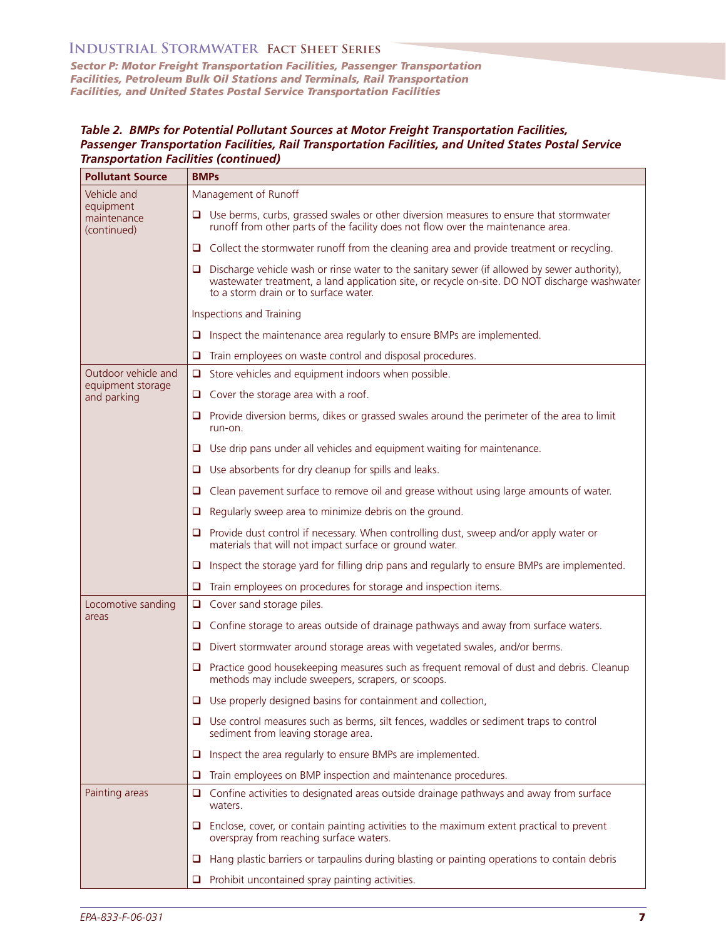*Sector P: Motor Freight Transportation Facilities, Passenger Transportation Facilities, Petroleum Bulk Oil Stations and Terminals, Rail Transportation Facilities, and United States Postal Service Transportation Facilities* 

#### *Table 2. BMPs for Potential Pollutant Sources at Motor Freight Transportation Facilities, Passenger Transportation Facilities, Rail Transportation Facilities, and United States Postal Service Transportation Facilities (continued)*

| <b>Pollutant Source</b>                                | <b>BMPs</b>                                                                                                                                                                                                                                 |
|--------------------------------------------------------|---------------------------------------------------------------------------------------------------------------------------------------------------------------------------------------------------------------------------------------------|
| Vehicle and<br>equipment<br>maintenance<br>(continued) | Management of Runoff                                                                                                                                                                                                                        |
|                                                        | $\Box$ Use berms, curbs, grassed swales or other diversion measures to ensure that stormwater<br>runoff from other parts of the facility does not flow over the maintenance area.                                                           |
|                                                        | $\Box$ Collect the stormwater runoff from the cleaning area and provide treatment or recycling.                                                                                                                                             |
|                                                        | Discharge vehicle wash or rinse water to the sanitary sewer (if allowed by sewer authority),<br>u<br>wastewater treatment, a land application site, or recycle on-site. DO NOT discharge washwater<br>to a storm drain or to surface water. |
|                                                        | <b>Inspections and Training</b>                                                                                                                                                                                                             |
|                                                        | Inspect the maintenance area regularly to ensure BMPs are implemented.<br>u                                                                                                                                                                 |
|                                                        | Train employees on waste control and disposal procedures.<br>u                                                                                                                                                                              |
| Outdoor vehicle and                                    | Store vehicles and equipment indoors when possible.<br>Q.,                                                                                                                                                                                  |
| equipment storage<br>and parking                       | $\Box$ Cover the storage area with a roof.                                                                                                                                                                                                  |
|                                                        | $\Box$ Provide diversion berms, dikes or grassed swales around the perimeter of the area to limit<br>run-on.                                                                                                                                |
|                                                        | Use drip pans under all vehicles and equipment waiting for maintenance.<br>u                                                                                                                                                                |
|                                                        | Use absorbents for dry cleanup for spills and leaks.<br>u                                                                                                                                                                                   |
|                                                        | Clean pavement surface to remove oil and grease without using large amounts of water.<br>⊔                                                                                                                                                  |
|                                                        | Regularly sweep area to minimize debris on the ground.<br>u                                                                                                                                                                                 |
|                                                        | Provide dust control if necessary. When controlling dust, sweep and/or apply water or<br>u<br>materials that will not impact surface or ground water.                                                                                       |
|                                                        | Inspect the storage yard for filling drip pans and regularly to ensure BMPs are implemented.<br>u                                                                                                                                           |
|                                                        | Train employees on procedures for storage and inspection items.<br>u                                                                                                                                                                        |
| Locomotive sanding<br>areas                            | Cover sand storage piles.<br>□                                                                                                                                                                                                              |
|                                                        | Confine storage to areas outside of drainage pathways and away from surface waters.<br>u                                                                                                                                                    |
|                                                        | Divert stormwater around storage areas with vegetated swales, and/or berms.<br>⊔                                                                                                                                                            |
|                                                        | Practice good housekeeping measures such as frequent removal of dust and debris. Cleanup<br>u<br>methods may include sweepers, scrapers, or scoops.                                                                                         |
|                                                        | $\Box$ Use properly designed basins for containment and collection,                                                                                                                                                                         |
|                                                        | $\Box$ Use control measures such as berms, silt fences, waddles or sediment traps to control<br>sediment from leaving storage area.                                                                                                         |
|                                                        | Inspect the area regularly to ensure BMPs are implemented.<br>u                                                                                                                                                                             |
|                                                        | Train employees on BMP inspection and maintenance procedures.<br>u                                                                                                                                                                          |
| Painting areas                                         | Confine activities to designated areas outside drainage pathways and away from surface<br>o.<br>waters.                                                                                                                                     |
|                                                        | Enclose, cover, or contain painting activities to the maximum extent practical to prevent<br>u<br>overspray from reaching surface waters.                                                                                                   |
|                                                        | Hang plastic barriers or tarpaulins during blasting or painting operations to contain debris<br>u                                                                                                                                           |
|                                                        | Prohibit uncontained spray painting activities.<br>u                                                                                                                                                                                        |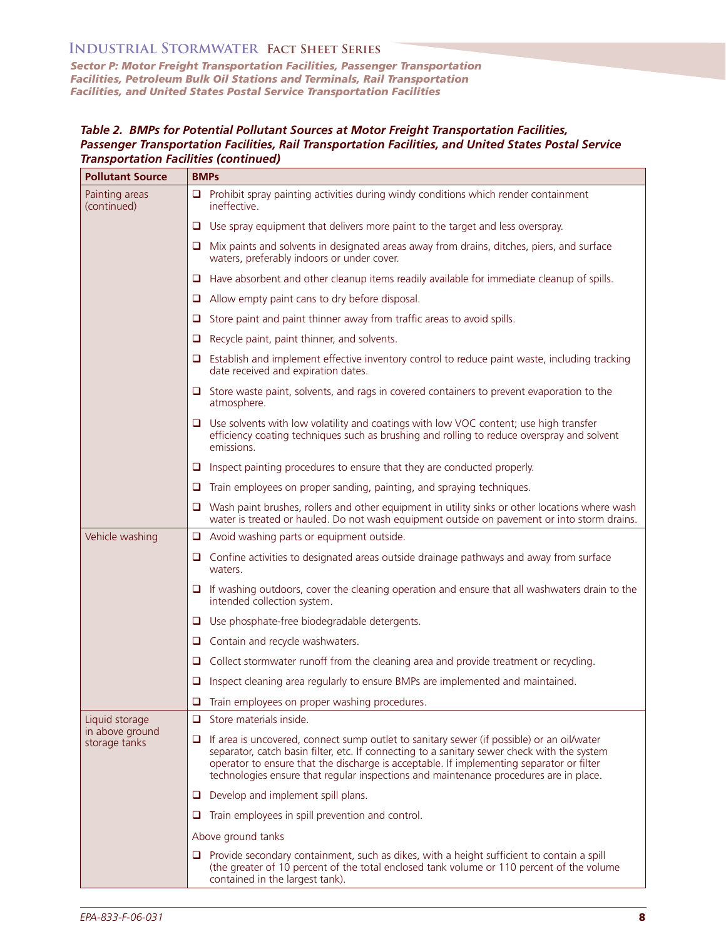*Sector P: Motor Freight Transportation Facilities, Passenger Transportation Facilities, Petroleum Bulk Oil Stations and Terminals, Rail Transportation Facilities, and United States Postal Service Transportation Facilities* 

#### *Table 2. BMPs for Potential Pollutant Sources at Motor Freight Transportation Facilities, Passenger Transportation Facilities, Rail Transportation Facilities, and United States Postal Service Transportation Facilities (continued)*

| <b>Pollutant Source</b>          | <b>BMPs</b>                                                                                                                                                                                                                                                                                                                                                                             |  |
|----------------------------------|-----------------------------------------------------------------------------------------------------------------------------------------------------------------------------------------------------------------------------------------------------------------------------------------------------------------------------------------------------------------------------------------|--|
| Painting areas<br>(continued)    | $\Box$ Prohibit spray painting activities during windy conditions which render containment<br>ineffective.                                                                                                                                                                                                                                                                              |  |
|                                  | $\Box$ Use spray equipment that delivers more paint to the target and less overspray.                                                                                                                                                                                                                                                                                                   |  |
|                                  | $\Box$ Mix paints and solvents in designated areas away from drains, ditches, piers, and surface<br>waters, preferably indoors or under cover.                                                                                                                                                                                                                                          |  |
|                                  | $\Box$ Have absorbent and other cleanup items readily available for immediate cleanup of spills.                                                                                                                                                                                                                                                                                        |  |
|                                  | $\Box$ Allow empty paint cans to dry before disposal.                                                                                                                                                                                                                                                                                                                                   |  |
|                                  | Store paint and paint thinner away from traffic areas to avoid spills.<br>u                                                                                                                                                                                                                                                                                                             |  |
|                                  | Recycle paint, paint thinner, and solvents.<br>u                                                                                                                                                                                                                                                                                                                                        |  |
|                                  | $\Box$ Establish and implement effective inventory control to reduce paint waste, including tracking<br>date received and expiration dates.                                                                                                                                                                                                                                             |  |
|                                  | $\Box$ Store waste paint, solvents, and rags in covered containers to prevent evaporation to the<br>atmosphere.                                                                                                                                                                                                                                                                         |  |
|                                  | $\Box$ Use solvents with low volatility and coatings with low VOC content; use high transfer<br>efficiency coating techniques such as brushing and rolling to reduce overspray and solvent<br>emissions.                                                                                                                                                                                |  |
|                                  | $\Box$ Inspect painting procedures to ensure that they are conducted properly.                                                                                                                                                                                                                                                                                                          |  |
|                                  | $\Box$ Train employees on proper sanding, painting, and spraying techniques.                                                                                                                                                                                                                                                                                                            |  |
|                                  | Wash paint brushes, rollers and other equipment in utility sinks or other locations where wash<br>O.<br>water is treated or hauled. Do not wash equipment outside on pavement or into storm drains.                                                                                                                                                                                     |  |
| Vehicle washing                  | $\Box$ Avoid washing parts or equipment outside.                                                                                                                                                                                                                                                                                                                                        |  |
|                                  | $\Box$ Confine activities to designated areas outside drainage pathways and away from surface<br>waters.                                                                                                                                                                                                                                                                                |  |
|                                  | $\Box$ If washing outdoors, cover the cleaning operation and ensure that all washwaters drain to the<br>intended collection system.                                                                                                                                                                                                                                                     |  |
|                                  | $\Box$ Use phosphate-free biodegradable detergents.                                                                                                                                                                                                                                                                                                                                     |  |
|                                  | $\Box$ Contain and recycle washwaters.                                                                                                                                                                                                                                                                                                                                                  |  |
|                                  | Collect stormwater runoff from the cleaning area and provide treatment or recycling.<br>u                                                                                                                                                                                                                                                                                               |  |
|                                  | Inspect cleaning area regularly to ensure BMPs are implemented and maintained.<br>u                                                                                                                                                                                                                                                                                                     |  |
|                                  | $\Box$ Train employees on proper washing procedures.                                                                                                                                                                                                                                                                                                                                    |  |
| Liquid storage                   | $\Box$ Store materials inside.                                                                                                                                                                                                                                                                                                                                                          |  |
| in above ground<br>storage tanks | If area is uncovered, connect sump outlet to sanitary sewer (if possible) or an oil/water<br>$\Box$<br>separator, catch basin filter, etc. If connecting to a sanitary sewer check with the system<br>operator to ensure that the discharge is acceptable. If implementing separator or filter<br>technologies ensure that regular inspections and maintenance procedures are in place. |  |
|                                  | $\Box$ Develop and implement spill plans.                                                                                                                                                                                                                                                                                                                                               |  |
|                                  | Train employees in spill prevention and control.<br>u                                                                                                                                                                                                                                                                                                                                   |  |
|                                  | Above ground tanks                                                                                                                                                                                                                                                                                                                                                                      |  |
|                                  | $\Box$ Provide secondary containment, such as dikes, with a height sufficient to contain a spill<br>(the greater of 10 percent of the total enclosed tank volume or 110 percent of the volume<br>contained in the largest tank).                                                                                                                                                        |  |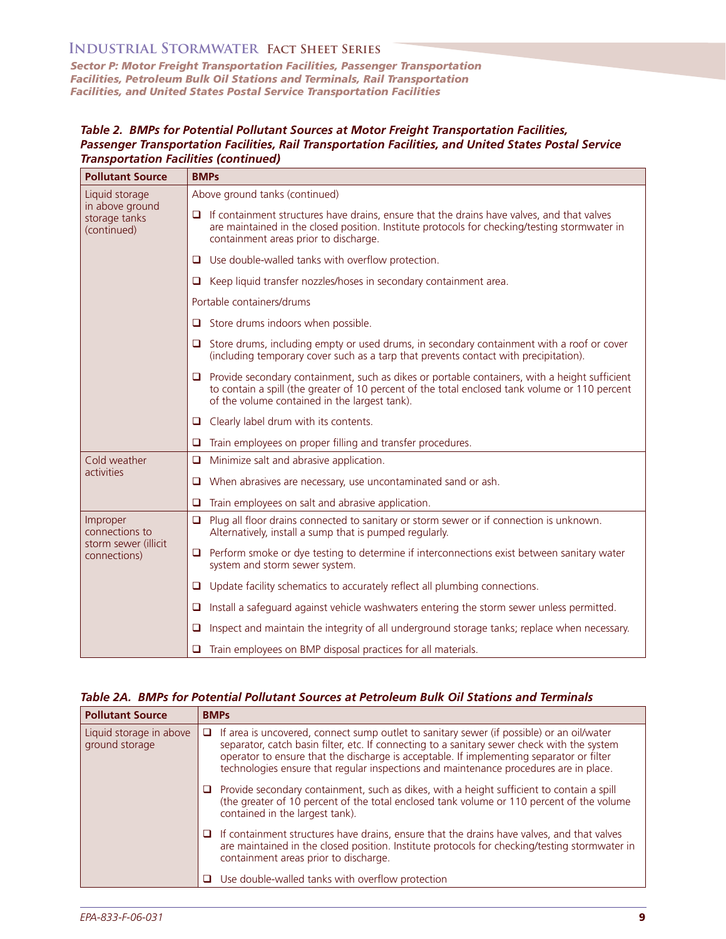*Sector P: Motor Freight Transportation Facilities, Passenger Transportation Facilities, Petroleum Bulk Oil Stations and Terminals, Rail Transportation Facilities, and United States Postal Service Transportation Facilities* 

#### *Table 2. BMPs for Potential Pollutant Sources at Motor Freight Transportation Facilities, Passenger Transportation Facilities, Rail Transportation Facilities, and United States Postal Service Transportation Facilities (continued)*

| <b>Pollutant Source</b>                                             | <b>BMPs</b>                                                                                                                                                                                                                                             |  |
|---------------------------------------------------------------------|---------------------------------------------------------------------------------------------------------------------------------------------------------------------------------------------------------------------------------------------------------|--|
| Liquid storage<br>in above ground<br>storage tanks<br>(continued)   | Above ground tanks (continued)                                                                                                                                                                                                                          |  |
|                                                                     | $\Box$ If containment structures have drains, ensure that the drains have valves, and that valves<br>are maintained in the closed position. Institute protocols for checking/testing stormwater in<br>containment areas prior to discharge.             |  |
|                                                                     | $\Box$ Use double-walled tanks with overflow protection.                                                                                                                                                                                                |  |
|                                                                     | Keep liquid transfer nozzles/hoses in secondary containment area.<br>u                                                                                                                                                                                  |  |
|                                                                     | Portable containers/drums                                                                                                                                                                                                                               |  |
|                                                                     | Store drums indoors when possible.<br>ப                                                                                                                                                                                                                 |  |
|                                                                     | $\Box$ Store drums, including empty or used drums, in secondary containment with a roof or cover<br>(including temporary cover such as a tarp that prevents contact with precipitation).                                                                |  |
|                                                                     | $\Box$ Provide secondary containment, such as dikes or portable containers, with a height sufficient<br>to contain a spill (the greater of 10 percent of the total enclosed tank volume or 110 percent<br>of the volume contained in the largest tank). |  |
|                                                                     | $\Box$ Clearly label drum with its contents.                                                                                                                                                                                                            |  |
|                                                                     | Train employees on proper filling and transfer procedures.<br>□                                                                                                                                                                                         |  |
| Cold weather<br>activities                                          | Minimize salt and abrasive application.<br>O.                                                                                                                                                                                                           |  |
|                                                                     | When abrasives are necessary, use uncontaminated sand or ash.<br>u                                                                                                                                                                                      |  |
|                                                                     | Train employees on salt and abrasive application.<br>O                                                                                                                                                                                                  |  |
| Improper<br>connections to<br>storm sewer (illicit)<br>connections) | Plug all floor drains connected to sanitary or storm sewer or if connection is unknown.<br>o<br>Alternatively, install a sump that is pumped regularly.                                                                                                 |  |
|                                                                     | $\Box$ Perform smoke or dye testing to determine if interconnections exist between sanitary water<br>system and storm sewer system.                                                                                                                     |  |
|                                                                     | Update facility schematics to accurately reflect all plumbing connections.<br>u                                                                                                                                                                         |  |
|                                                                     | Install a safeguard against vehicle washwaters entering the storm sewer unless permitted.<br>u                                                                                                                                                          |  |
|                                                                     | Inspect and maintain the integrity of all underground storage tanks; replace when necessary.<br>O                                                                                                                                                       |  |
|                                                                     | Train employees on BMP disposal practices for all materials.<br>u                                                                                                                                                                                       |  |

#### *Table 2A. BMPs for Potential Pollutant Sources at Petroleum Bulk Oil Stations and Terminals*

| <b>Pollutant Source</b>                   | <b>BMPs</b>                                                                                                                                                                                                                                                                                                                                                                             |
|-------------------------------------------|-----------------------------------------------------------------------------------------------------------------------------------------------------------------------------------------------------------------------------------------------------------------------------------------------------------------------------------------------------------------------------------------|
| Liquid storage in above<br>ground storage | If area is uncovered, connect sump outlet to sanitary sewer (if possible) or an oil/water<br>$\Box$<br>separator, catch basin filter, etc. If connecting to a sanitary sewer check with the system<br>operator to ensure that the discharge is acceptable. If implementing separator or filter<br>technologies ensure that regular inspections and maintenance procedures are in place. |
|                                           | Provide secondary containment, such as dikes, with a height sufficient to contain a spill<br>u<br>(the greater of 10 percent of the total enclosed tank volume or 110 percent of the volume<br>contained in the largest tank).                                                                                                                                                          |
|                                           | If containment structures have drains, ensure that the drains have valves, and that valves<br>ப<br>are maintained in the closed position. Institute protocols for checking/testing stormwater in<br>containment areas prior to discharge.                                                                                                                                               |
|                                           | Use double-walled tanks with overflow protection<br>ш                                                                                                                                                                                                                                                                                                                                   |
|                                           |                                                                                                                                                                                                                                                                                                                                                                                         |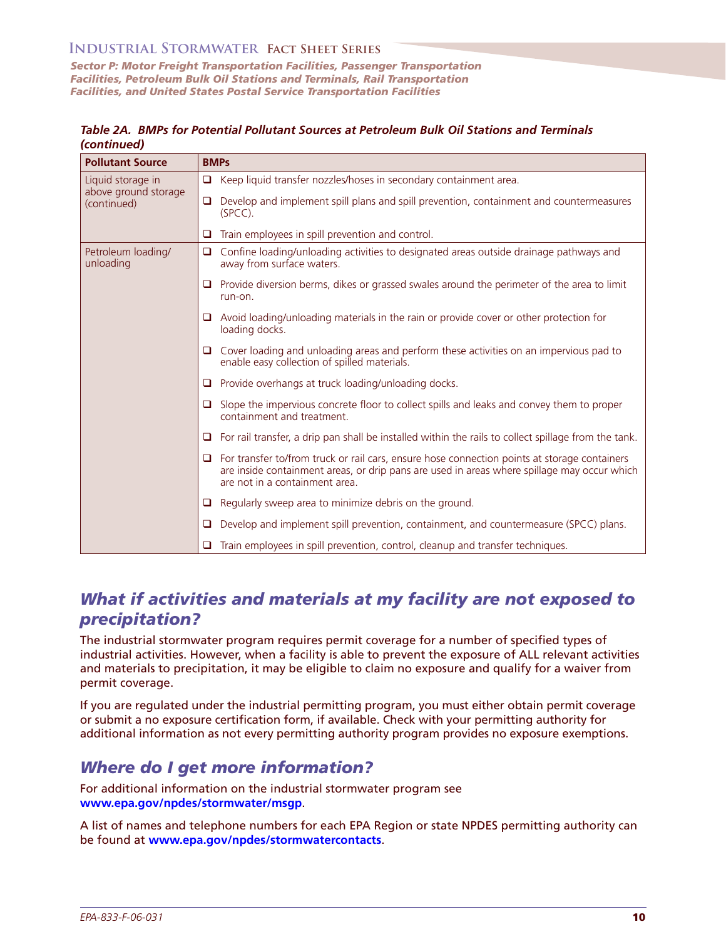*Sector P: Motor Freight Transportation Facilities, Passenger Transportation Facilities, Petroleum Bulk Oil Stations and Terminals, Rail Transportation Facilities, and United States Postal Service Transportation Facilities* 

*Table 2A. BMPs for Potential Pollutant Sources at Petroleum Bulk Oil Stations and Terminals (continued)* 

| <b>Pollutant Source</b>                                  | <b>BMPs</b>                                                                                                                                                                                                                             |
|----------------------------------------------------------|-----------------------------------------------------------------------------------------------------------------------------------------------------------------------------------------------------------------------------------------|
| Liquid storage in<br>above ground storage<br>(continued) | Keep liquid transfer nozzles/hoses in secondary containment area.<br>$\Box$                                                                                                                                                             |
|                                                          | Develop and implement spill plans and spill prevention, containment and countermeasures<br>□<br>$(SPCC)$ .                                                                                                                              |
|                                                          | Train employees in spill prevention and control.<br>□                                                                                                                                                                                   |
| Petroleum loading/<br>unloading                          | Confine loading/unloading activities to designated areas outside drainage pathways and<br>$\Box$<br>away from surface waters.                                                                                                           |
|                                                          | Provide diversion berms, dikes or grassed swales around the perimeter of the area to limit<br>run-on.                                                                                                                                   |
|                                                          | Avoid loading/unloading materials in the rain or provide cover or other protection for<br>loading docks.                                                                                                                                |
|                                                          | Cover loading and unloading areas and perform these activities on an impervious pad to<br>enable easy collection of spilled materials.                                                                                                  |
|                                                          | Provide overhangs at truck loading/unloading docks.<br>u                                                                                                                                                                                |
|                                                          | Slope the impervious concrete floor to collect spills and leaks and convey them to proper<br>$\Box$<br>containment and treatment.                                                                                                       |
|                                                          | For rail transfer, a drip pan shall be installed within the rails to collect spillage from the tank.<br>o                                                                                                                               |
|                                                          | For transfer to/from truck or rail cars, ensure hose connection points at storage containers<br>$\Box$<br>are inside containment areas, or drip pans are used in areas where spillage may occur which<br>are not in a containment area. |
|                                                          | Regularly sweep area to minimize debris on the ground.<br>u                                                                                                                                                                             |
|                                                          | Develop and implement spill prevention, containment, and countermeasure (SPCC) plans.<br>O                                                                                                                                              |
|                                                          | Train employees in spill prevention, control, cleanup and transfer techniques.<br>□                                                                                                                                                     |

## *What if activities and materials at my facility are not exposed to precipitation?*

The industrial stormwater program requires permit coverage for a number of specified types of industrial activities. However, when a facility is able to prevent the exposure of ALL relevant activities and materials to precipitation, it may be eligible to claim no exposure and qualify for a waiver from permit coverage.

 If you are regulated under the industrial permitting program, you must either obtain permit coverage or submit a no exposure certification form, if available. Check with your permitting authority for additional information as not every permitting authority program provides no exposure exemptions.

## *Where do I get more information?*

For additional information on the industrial stormwater program see **[www.epa.gov/npdes/stormwater/msgp](http://www.epa.gov/npdes/stormwater/msgp)**.

A list of names and telephone numbers for each EPA Region or state NPDES permitting authority can be found at **[www.epa.gov/npdes/stormwatercontacts](http://www.epa.gov/npdes/stormwatercontacts)**.